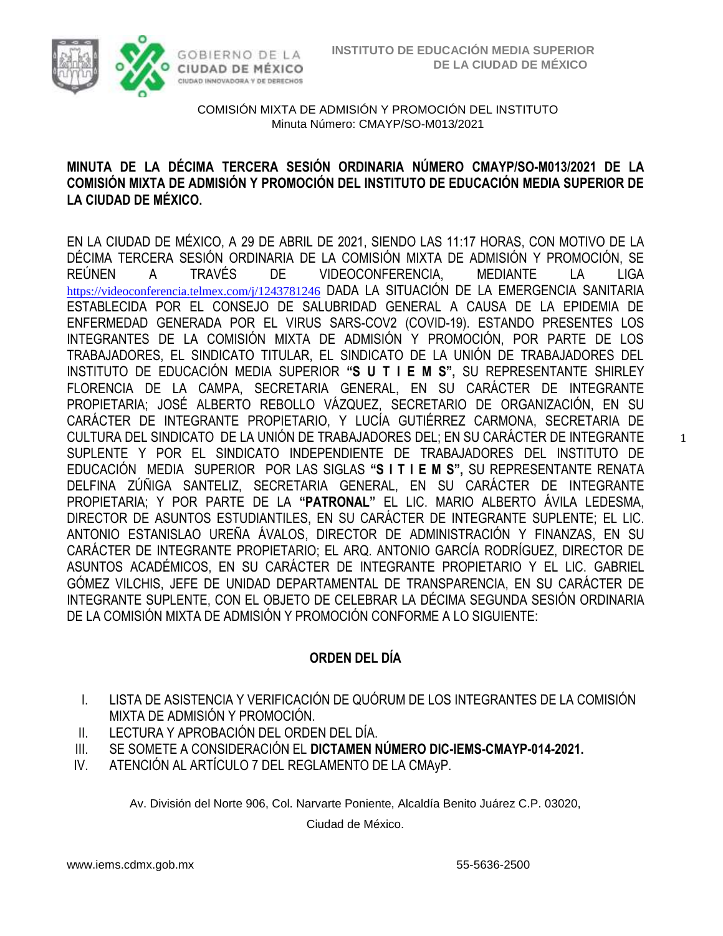

# **MINUTA DE LA DÉCIMA TERCERA SESIÓN ORDINARIA NÚMERO CMAYP/SO-M013/2021 DE LA COMISIÓN MIXTA DE ADMISIÓN Y PROMOCIÓN DEL INSTITUTO DE EDUCACIÓN MEDIA SUPERIOR DE LA CIUDAD DE MÉXICO.**

EN LA CIUDAD DE MÉXICO, A 29 DE ABRIL DE 2021, SIENDO LAS 11:17 HORAS, CON MOTIVO DE LA DÉCIMA TERCERA SESIÓN ORDINARIA DE LA COMISIÓN MIXTA DE ADMISIÓN Y PROMOCIÓN, SE REÚNEN A TRAVÉS DE VIDEOCONFERENCIA, MEDIANTE LA LIGA <https://videoconferencia.telmex.com/j/1243781246> DADA LA SITUACIÓN DE LA EMERGENCIA SANITARIA ESTABLECIDA POR EL CONSEJO DE SALUBRIDAD GENERAL A CAUSA DE LA EPIDEMIA DE ENFERMEDAD GENERADA POR EL VIRUS SARS-COV2 (COVID-19). ESTANDO PRESENTES LOS INTEGRANTES DE LA COMISIÓN MIXTA DE ADMISIÓN Y PROMOCIÓN, POR PARTE DE LOS TRABAJADORES, EL SINDICATO TITULAR, EL SINDICATO DE LA UNIÓN DE TRABAJADORES DEL INSTITUTO DE EDUCACIÓN MEDIA SUPERIOR **"S U T I E M S",** SU REPRESENTANTE SHIRLEY FLORENCIA DE LA CAMPA, SECRETARIA GENERAL, EN SU CARÁCTER DE INTEGRANTE PROPIETARIA; JOSÉ ALBERTO REBOLLO VÁZQUEZ, SECRETARIO DE ORGANIZACIÓN, EN SU CARÁCTER DE INTEGRANTE PROPIETARIO, Y LUCÍA GUTIÉRREZ CARMONA, SECRETARIA DE CULTURA DEL SINDICATO DE LA UNIÓN DE TRABAJADORES DEL; EN SU CARÁCTER DE INTEGRANTE SUPLENTE Y POR EL SINDICATO INDEPENDIENTE DE TRABAJADORES DEL INSTITUTO DE EDUCACIÓN MEDIA SUPERIOR POR LAS SIGLAS **"S I T I E M S",** SU REPRESENTANTE RENATA DELFINA ZÚÑIGA SANTELIZ, SECRETARIA GENERAL, EN SU CARÁCTER DE INTEGRANTE PROPIETARIA; Y POR PARTE DE LA **"PATRONAL"** EL LIC. MARIO ALBERTO ÁVILA LEDESMA, DIRECTOR DE ASUNTOS ESTUDIANTILES, EN SU CARÁCTER DE INTEGRANTE SUPLENTE; EL LIC. ANTONIO ESTANISLAO UREÑA ÁVALOS, DIRECTOR DE ADMINISTRACIÓN Y FINANZAS, EN SU CARÁCTER DE INTEGRANTE PROPIETARIO; EL ARQ. ANTONIO GARCÍA RODRÍGUEZ, DIRECTOR DE ASUNTOS ACADÉMICOS, EN SU CARÁCTER DE INTEGRANTE PROPIETARIO Y EL LIC. GABRIEL GÓMEZ VILCHIS, JEFE DE UNIDAD DEPARTAMENTAL DE TRANSPARENCIA, EN SU CARÁCTER DE INTEGRANTE SUPLENTE, CON EL OBJETO DE CELEBRAR LA DÉCIMA SEGUNDA SESIÓN ORDINARIA DE LA COMISIÓN MIXTA DE ADMISIÓN Y PROMOCIÓN CONFORME A LO SIGUIENTE:

# **ORDEN DEL DÍA**

- I. LISTA DE ASISTENCIA Y VERIFICACIÓN DE QUÓRUM DE LOS INTEGRANTES DE LA COMISIÓN MIXTA DE ADMISIÓN Y PROMOCIÓN.
- II. LECTURA Y APROBACIÓN DEL ORDEN DEL DÍA.
- III. SE SOMETE A CONSIDERACIÓN EL **DICTAMEN NÚMERO DIC-IEMS-CMAYP-014-2021.**
- IV. ATENCIÓN AL ARTÍCULO 7 DEL REGLAMENTO DE LA CMAyP.

Av. División del Norte 906, Col. Narvarte Poniente, Alcaldía Benito Juárez C.P. 03020,

Ciudad de México.

1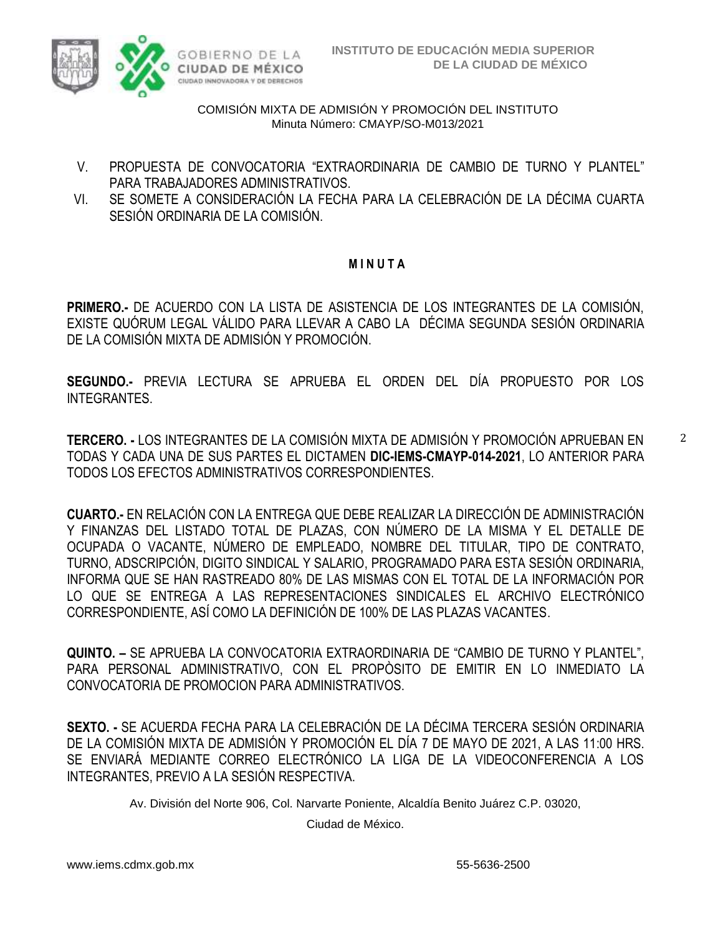

- V. PROPUESTA DE CONVOCATORIA "EXTRAORDINARIA DE CAMBIO DE TURNO Y PLANTEL" PARA TRABAJADORES ADMINISTRATIVOS.
- VI. SE SOMETE A CONSIDERACIÓN LA FECHA PARA LA CELEBRACIÓN DE LA DÉCIMA CUARTA SESIÓN ORDINARIA DE LA COMISIÓN.

### **M I N U T A**

**PRIMERO.-** DE ACUERDO CON LA LISTA DE ASISTENCIA DE LOS INTEGRANTES DE LA COMISIÓN, EXISTE QUÓRUM LEGAL VÁLIDO PARA LLEVAR A CABO LA DÉCIMA SEGUNDA SESIÓN ORDINARIA DE LA COMISIÓN MIXTA DE ADMISIÓN Y PROMOCIÓN.

**SEGUNDO.-** PREVIA LECTURA SE APRUEBA EL ORDEN DEL DÍA PROPUESTO POR LOS INTEGRANTES.

**TERCERO. -** LOS INTEGRANTES DE LA COMISIÓN MIXTA DE ADMISIÓN Y PROMOCIÓN APRUEBAN EN TODAS Y CADA UNA DE SUS PARTES EL DICTAMEN **DIC-IEMS-CMAYP-014-2021**, LO ANTERIOR PARA TODOS LOS EFECTOS ADMINISTRATIVOS CORRESPONDIENTES.

**CUARTO.-** EN RELACIÓN CON LA ENTREGA QUE DEBE REALIZAR LA DIRECCIÓN DE ADMINISTRACIÓN Y FINANZAS DEL LISTADO TOTAL DE PLAZAS, CON NÚMERO DE LA MISMA Y EL DETALLE DE OCUPADA O VACANTE, NÚMERO DE EMPLEADO, NOMBRE DEL TITULAR, TIPO DE CONTRATO, TURNO, ADSCRIPCIÓN, DIGITO SINDICAL Y SALARIO, PROGRAMADO PARA ESTA SESIÓN ORDINARIA, INFORMA QUE SE HAN RASTREADO 80% DE LAS MISMAS CON EL TOTAL DE LA INFORMACIÓN POR LO QUE SE ENTREGA A LAS REPRESENTACIONES SINDICALES EL ARCHIVO ELECTRÓNICO CORRESPONDIENTE, ASÍ COMO LA DEFINICIÓN DE 100% DE LAS PLAZAS VACANTES.

**QUINTO. –** SE APRUEBA LA CONVOCATORIA EXTRAORDINARIA DE "CAMBIO DE TURNO Y PLANTEL", PARA PERSONAL ADMINISTRATIVO, CON EL PROPÒSITO DE EMITIR EN LO INMEDIATO LA CONVOCATORIA DE PROMOCION PARA ADMINISTRATIVOS.

**SEXTO. -** SE ACUERDA FECHA PARA LA CELEBRACIÓN DE LA DÉCIMA TERCERA SESIÓN ORDINARIA DE LA COMISIÓN MIXTA DE ADMISIÓN Y PROMOCIÓN EL DÍA 7 DE MAYO DE 2021, A LAS 11:00 HRS. SE ENVIARÁ MEDIANTE CORREO ELECTRÓNICO LA LIGA DE LA VIDEOCONFERENCIA A LOS INTEGRANTES, PREVIO A LA SESIÓN RESPECTIVA.

Av. División del Norte 906, Col. Narvarte Poniente, Alcaldía Benito Juárez C.P. 03020,

Ciudad de México.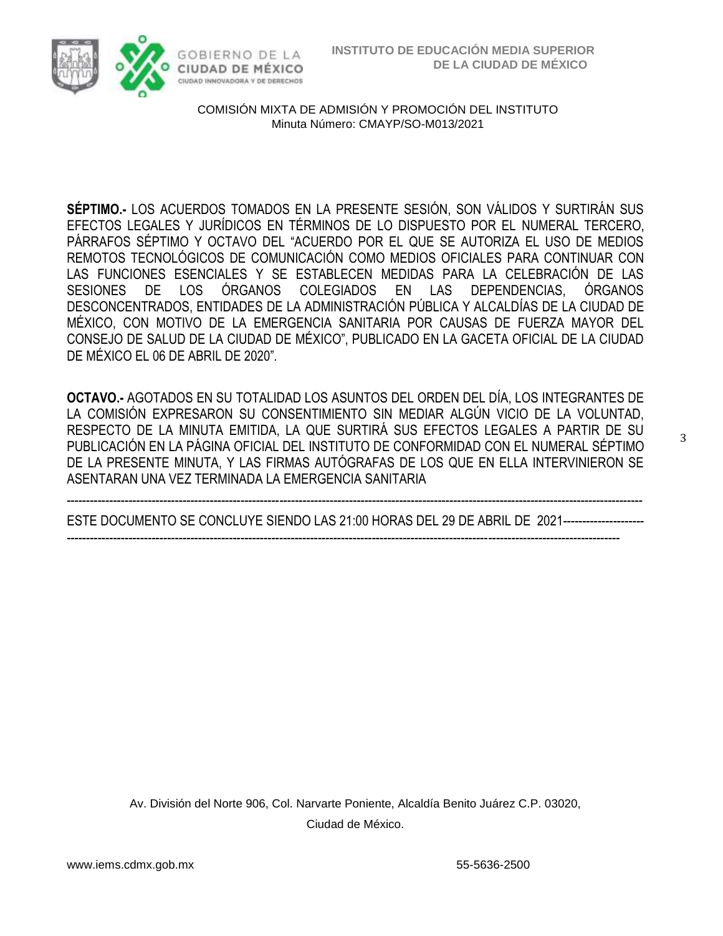

**SÉPTIMO.-** LOS ACUERDOS TOMADOS EN LA PRESENTE SESIÓN, SON VÁLIDOS Y SURTIRÁN SUS EFECTOS LEGALES Y JURÍDICOS EN TÉRMINOS DE LO DISPUESTO POR EL NUMERAL TERCERO, PÁRRAFOS SÉPTIMO Y OCTAVO DEL "ACUERDO POR EL QUE SE AUTORIZA EL USO DE MEDIOS REMOTOS TECNOLÓGICOS DE COMUNICACIÓN COMO MEDIOS OFICIALES PARA CONTINUAR CON LAS FUNCIONES ESENCIALES Y SE ESTABLECEN MEDIDAS PARA LA CELEBRACIÓN DE LAS SESIONES DE LOS ÓRGANOS COLEGIADOS EN LAS DEPENDENCIAS, ÓRGANOS DESCONCENTRADOS, ENTIDADES DE LA ADMINISTRACIÓN PÚBLICA Y ALCALDÍAS DE LA CIUDAD DE MÉXICO, CON MOTIVO DE LA EMERGENCIA SANITARIA POR CAUSAS DE FUERZA MAYOR DEL CONSEJO DE SALUD DE LA CIUDAD DE MÉXICO", PUBLICADO EN LA GACETA OFICIAL DE LA CIUDAD DE MÉXICO EL 06 DE ABRIL DE 2020".

**OCTAVO.-** AGOTADOS EN SU TOTALIDAD LOS ASUNTOS DEL ORDEN DEL DÍA, LOS INTEGRANTES DE LA COMISIÓN EXPRESARON SU CONSENTIMIENTO SIN MEDIAR ALGÚN VICIO DE LA VOLUNTAD, RESPECTO DE LA MINUTA EMITIDA, LA QUE SURTIRÁ SUS EFECTOS LEGALES A PARTIR DE SU PUBLICACIÓN EN LA PÁGINA OFICIAL DEL INSTITUTO DE CONFORMIDAD CON EL NUMERAL SÉPTIMO DE LA PRESENTE MINUTA, Y LAS FIRMAS AUTÓGRAFAS DE LOS QUE EN ELLA INTERVINIERON SE ASENTARAN UNA VEZ TERMINADA LA EMERGENCIA SANITARIA

----------------------------------------------------------------------------------------------------------------------------------------------------- ESTE DOCUMENTO SE CONCLUYE SIENDO LAS 21:00 HORAS DEL 29 DE ABRIL DE 2021---------------------

-----------------------------------------------------------------------------------------------------------------------------------------------

Av. División del Norte 906, Col. Narvarte Poniente, Alcaldía Benito Juárez C.P. 03020, Ciudad de México.

3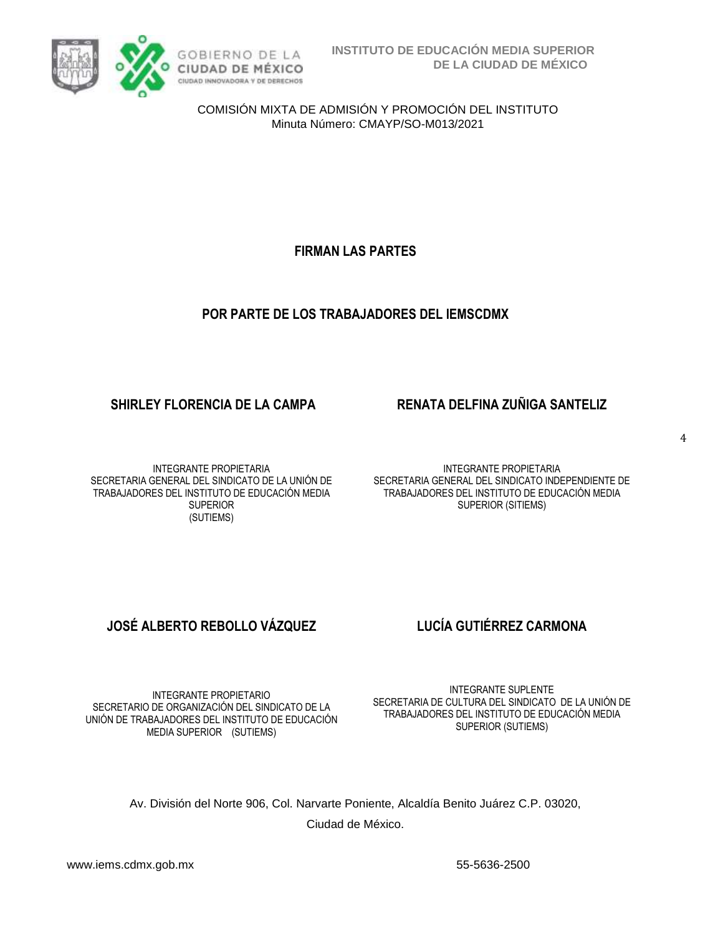

**FIRMAN LAS PARTES**

# **POR PARTE DE LOS TRABAJADORES DEL IEMSCDMX**

## **SHIRLEY FLORENCIA DE LA CAMPA RENATA DELFINA ZUÑIGA SANTELIZ**

### INTEGRANTE PROPIETARIA SECRETARIA GENERAL DEL SINDICATO DE LA UNIÓN DE TRABAJADORES DEL INSTITUTO DE EDUCACIÓN MEDIA SUPERIOR (SUTIEMS)

INTEGRANTE PROPIETARIA SECRETARIA GENERAL DEL SINDICATO INDEPENDIENTE DE TRABAJADORES DEL INSTITUTO DE EDUCACIÓN MEDIA SUPERIOR (SITIEMS)

# **JOSÉ ALBERTO REBOLLO VÁZQUEZ LUCÍA GUTIÉRREZ CARMONA**

INTEGRANTE PROPIETARIO SECRETARIO DE ORGANIZACIÓN DEL SINDICATO DE LA UNIÓN DE TRABAJADORES DEL INSTITUTO DE EDUCACIÓN MEDIA SUPERIOR (SUTIEMS)

INTEGRANTE SUPLENTE SECRETARIA DE CULTURA DEL SINDICATO DE LA UNIÓN DE TRABAJADORES DEL INSTITUTO DE EDUCACIÓN MEDIA SUPERIOR (SUTIEMS)

Av. División del Norte 906, Col. Narvarte Poniente, Alcaldía Benito Juárez C.P. 03020, Ciudad de México.